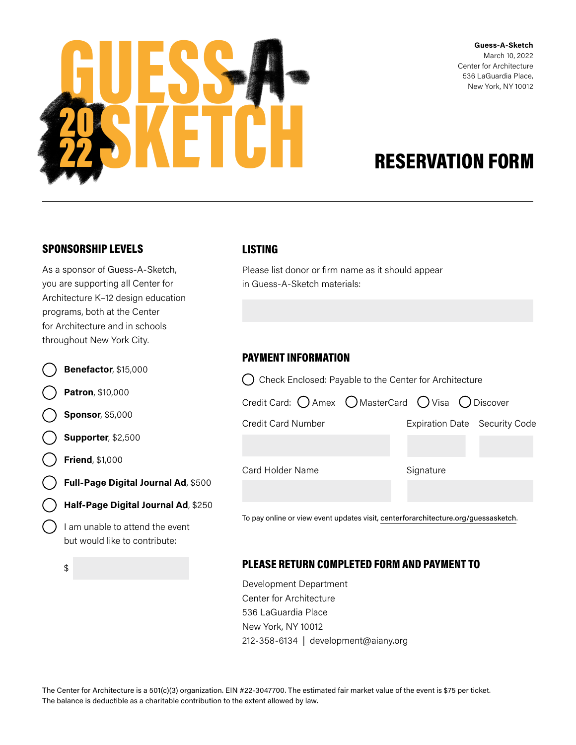

Guess-A-Sketch March 10, 2022 Center for Architecture 536 LaGuardia Place, New York, NY 10012

# RESERVATION FORM

# SPONSORSHIP LEVELS

As a sponsor of Guess-A-Sketch, you are supporting all Center for Architecture K–12 design education programs, both at the Center for Architecture and in schools throughout New York City.

|  | $\bigcirc$ Benefactor, \$15,000 |
|--|---------------------------------|
|  |                                 |

Patron, \$10,000

Sponsor, \$5,000

Supporter, \$2,500

Friend, \$1,000

Full-Page Digital Journal Ad, \$500

Half-Page Digital Journal Ad, \$250

I am unable to attend the event but would like to contribute:

\$

#### LISTING

Please list donor or firm name as it should appear in Guess-A-Sketch materials:

## PAYMENT INFORMATION

 $\bigcap$  Check Enclosed: Payable to the Center for Architecture

| Credit Card: $\bigcirc$ Amex $\bigcirc$ MasterCard $\bigcirc$ Visa $\bigcirc$ Discover |           |                               |
|----------------------------------------------------------------------------------------|-----------|-------------------------------|
| Credit Card Number                                                                     |           | Expiration Date Security Code |
|                                                                                        |           |                               |
| Card Holder Name                                                                       | Signature |                               |
|                                                                                        |           |                               |

To pay online or view event updates visit, [centerforarchitecture.org/guessasketch](https://www.centerforarchitecture.org/support/guess-a-sketch/).

## PLEASE RETURN COMPLETED FORM AND PAYMENT TO

Development Department Center for Architecture 536 LaGuardia Place New York, NY 10012 212-358-6134 | development@aiany.org